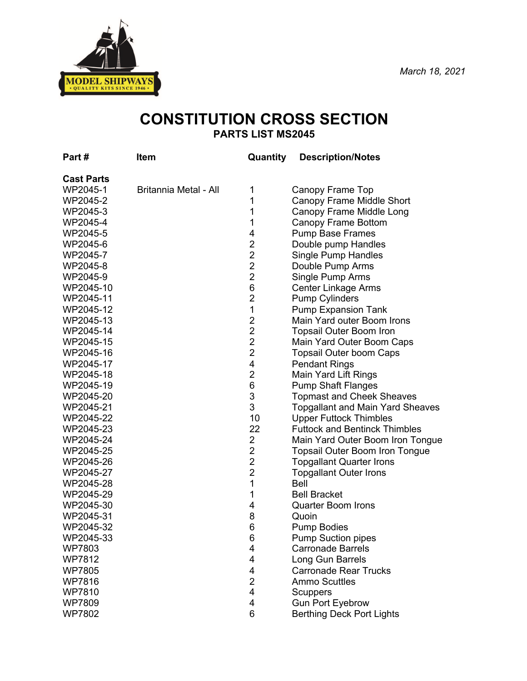

# **CONSTITUTION CROSS SECTION PARTS LIST MS2045**

| Part#             | Item                  | Quantity       | <b>Description/Notes</b>                |
|-------------------|-----------------------|----------------|-----------------------------------------|
| <b>Cast Parts</b> |                       |                |                                         |
| WP2045-1          | Britannia Metal - All | 1              | Canopy Frame Top                        |
| WP2045-2          |                       | 1              | Canopy Frame Middle Short               |
| WP2045-3          |                       | 1              | Canopy Frame Middle Long                |
| WP2045-4          |                       | 1              | Canopy Frame Bottom                     |
| WP2045-5          |                       | 4              | <b>Pump Base Frames</b>                 |
| WP2045-6          |                       | $\overline{2}$ | Double pump Handles                     |
| WP2045-7          |                       | $\overline{2}$ | <b>Single Pump Handles</b>              |
| WP2045-8          |                       | $\overline{2}$ | Double Pump Arms                        |
| WP2045-9          |                       | $\overline{2}$ | Single Pump Arms                        |
| WP2045-10         |                       | 6              | <b>Center Linkage Arms</b>              |
| WP2045-11         |                       | $\overline{2}$ | <b>Pump Cylinders</b>                   |
| WP2045-12         |                       | 1              | <b>Pump Expansion Tank</b>              |
| WP2045-13         |                       | $\overline{2}$ | Main Yard outer Boom Irons              |
| WP2045-14         |                       | $\overline{2}$ | <b>Topsail Outer Boom Iron</b>          |
| WP2045-15         |                       | $\overline{c}$ | Main Yard Outer Boom Caps               |
| WP2045-16         |                       | $\overline{2}$ | <b>Topsail Outer boom Caps</b>          |
| WP2045-17         |                       | 4              | <b>Pendant Rings</b>                    |
| WP2045-18         |                       | $\overline{2}$ | Main Yard Lift Rings                    |
| WP2045-19         |                       | $\,6$          | <b>Pump Shaft Flanges</b>               |
| WP2045-20         |                       | 3              | <b>Topmast and Cheek Sheaves</b>        |
| WP2045-21         |                       | 3              | <b>Topgallant and Main Yard Sheaves</b> |
| WP2045-22         |                       | 10             | <b>Upper Futtock Thimbles</b>           |
| WP2045-23         |                       | 22             | <b>Futtock and Bentinck Thimbles</b>    |
| WP2045-24         |                       | $\overline{2}$ | Main Yard Outer Boom Iron Tongue        |
| WP2045-25         |                       | 2              | <b>Topsail Outer Boom Iron Tongue</b>   |
| WP2045-26         |                       | $\overline{2}$ | <b>Topgallant Quarter Irons</b>         |
| WP2045-27         |                       | $\overline{2}$ | <b>Topgallant Outer Irons</b>           |
| WP2045-28         |                       | 1              | <b>Bell</b>                             |
| WP2045-29         |                       | 1              | <b>Bell Bracket</b>                     |
| WP2045-30         |                       | 4              | <b>Quarter Boom Irons</b>               |
| WP2045-31         |                       | 8              | Quoin                                   |
| WP2045-32         |                       | 6              | <b>Pump Bodies</b>                      |
| WP2045-33         |                       | 6              | <b>Pump Suction pipes</b>               |
| WP7803            |                       | 4              | <b>Carronade Barrels</b>                |
| <b>WP7812</b>     |                       | 4              | Long Gun Barrels                        |
| <b>WP7805</b>     |                       | 4              | <b>Carronade Rear Trucks</b>            |
| <b>WP7816</b>     |                       | $\overline{2}$ | <b>Ammo Scuttles</b>                    |
| <b>WP7810</b>     |                       | 4              | Scuppers                                |
| <b>WP7809</b>     |                       | 4              | <b>Gun Port Eyebrow</b>                 |
| <b>WP7802</b>     |                       | 6              | <b>Berthing Deck Port Lights</b>        |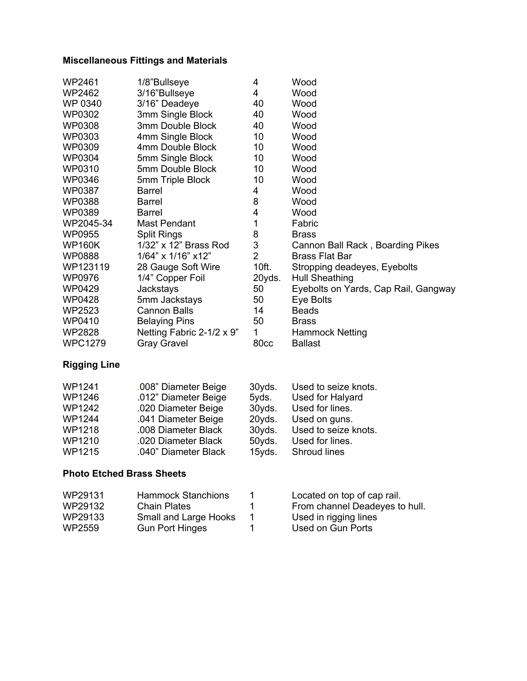### **Miscellaneous Fittings and Materials**

| 1/8"Bullseye              | 4              | Wood                                 |
|---------------------------|----------------|--------------------------------------|
| 3/16"Bullseye             | 4              | Wood                                 |
| 3/16" Deadeye             | 40             | Wood                                 |
| 3mm Single Block          | 40             | Wood                                 |
| 3mm Double Block          | 40             | Wood                                 |
| 4mm Single Block          | 10             | Wood                                 |
| 4mm Double Block          | 10             | Wood                                 |
| 5mm Single Block          | 10             | Wood                                 |
| 5mm Double Block          | 10             | Wood                                 |
| 5mm Triple Block          | 10             | Wood                                 |
| <b>Barrel</b>             | 4              | Wood                                 |
| Barrel                    | 8              | Wood                                 |
| <b>Barrel</b>             | 4              | Wood                                 |
| <b>Mast Pendant</b>       | 1              | Fabric                               |
| <b>Split Rings</b>        | 8              | <b>Brass</b>                         |
| 1/32" x 12" Brass Rod     |                | Cannon Ball Rack, Boarding Pikes     |
| 1/64" x 1/16" x12"        | $\overline{2}$ | <b>Brass Flat Bar</b>                |
| 28 Gauge Soft Wire        | 10ft.          | Stropping deadeyes, Eyebolts         |
| 1/4" Copper Foil          | 20yds.         | Hull Sheathing                       |
| <b>Jackstays</b>          | 50             | Eyebolts on Yards, Cap Rail, Gangway |
| 5mm Jackstays             | 50             | Eye Bolts                            |
| <b>Cannon Balls</b>       | 14             | <b>Beads</b>                         |
| <b>Belaying Pins</b>      | 50             | <b>Brass</b>                         |
| Netting Fabric 2-1/2 x 9" | 1              | <b>Hammock Netting</b>               |
| <b>Gray Gravel</b>        | 80cc           | <b>Ballast</b>                       |
|                           |                | 3                                    |

# **Rigging Line**

| WP1241        | .008" Diameter Beige | 30yds. | Used to seize knots. |
|---------------|----------------------|--------|----------------------|
| WP1246        | .012" Diameter Beige | 5yds.  | Used for Halyard     |
| <b>WP1242</b> | .020 Diameter Beige  | 30yds. | Used for lines.      |
| <b>WP1244</b> | .041 Diameter Beige  | 20yds. | Used on guns.        |
| WP1218        | .008 Diameter Black  | 30yds. | Used to seize knots. |
| WP1210        | .020 Diameter Black  | 50yds. | Used for lines.      |
| WP1215        | .040" Diameter Black | 15yds. | Shroud lines         |

## **Photo Etched Brass Sheets**

|                                                                                                     | Located on top of cap rail.    |
|-----------------------------------------------------------------------------------------------------|--------------------------------|
|                                                                                                     | From channel Deadeyes to hull. |
|                                                                                                     | Used in rigging lines          |
|                                                                                                     | Used on Gun Ports              |
| <b>Hammock Stanchions</b><br><b>Chain Plates</b><br>Small and Large Hooks<br><b>Gun Port Hinges</b> |                                |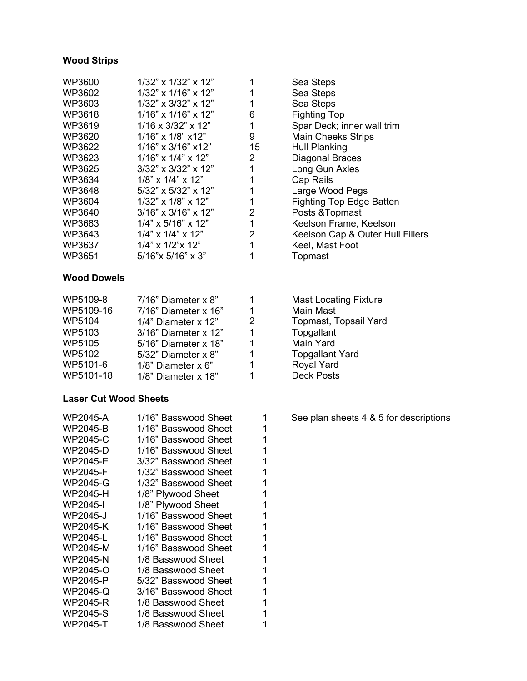#### **Wood Strips**

| $1/32$ " x $1/32$ " x $12$ " |    | Sea Steps                        |
|------------------------------|----|----------------------------------|
| $1/32$ " x $1/16$ " x $12$ " |    | Sea Steps                        |
| $1/32$ " x $3/32$ " x $12$ " |    | Sea Steps                        |
| $1/16$ " x $1/16$ " x $12$ " | 6  | <b>Fighting Top</b>              |
| $1/16 \times 3/32$ " x 12"   |    | Spar Deck; inner wall trim       |
| $1/16$ " x $1/8$ " x 12"     | 9  | <b>Main Cheeks Strips</b>        |
| $1/16$ " x $3/16$ " x 12"    | 15 | Hull Planking                    |
| $1/16$ " x $1/4$ " x $12$ "  | 2  | Diagonal Braces                  |
| $3/32$ " x $3/32$ " x $12$ " |    | Long Gun Axles                   |
| $1/8$ " x $1/4$ " x $12$ "   |    | Cap Rails                        |
| $5/32$ " x $5/32$ " x $12$ " |    | Large Wood Pegs                  |
| $1/32$ " x $1/8$ " x $12$ "  |    | <b>Fighting Top Edge Batten</b>  |
| $3/16$ " x $3/16$ " x $12$ " | 2  | Posts & Topmast                  |
| $1/4$ " x 5/16" x 12"        |    | Keelson Frame, Keelson           |
| $1/4$ " x $1/4$ " x $12$ "   | 2  | Keelson Cap & Outer Hull Fillers |
| $1/4$ " x $1/2$ " x $12$ "   |    | Keel, Mast Foot                  |
| 5/16"x 5/16" x 3"            |    | Topmast                          |
|                              |    |                                  |

#### **Wood Dowels**

| WP5109-8  | 7/16" Diameter x 8"   |
|-----------|-----------------------|
| WP5109-16 | 7/16" Diameter x 16"  |
| WP5104    | 1/4" Diameter x 12"   |
| WP5103    | 3/16" Diameter x 12"  |
| WP5105    | 5/16" Diameter x 18"  |
| WP5102    | 5/32" Diameter x 8"   |
| WP5101-6  | $1/8$ " Diameter x 6" |
| WP5101-18 | 1/8" Diameter x 18"   |

#### **Laser Cut Wood Sheets**

| WP2045-A | 1/16" Basswood Sheet |
|----------|----------------------|
| WP2045-B | 1/16" Basswood Sheet |
| WP2045-C | 1/16" Basswood Sheet |
| WP2045-D | 1/16" Basswood Sheet |
| WP2045-E | 3/32" Basswood Sheet |
| WP2045-F | 1/32" Basswood Sheet |
| WP2045-G | 1/32" Basswood Sheet |
| WP2045-H | 1/8" Plywood Sheet   |
| WP2045-I | 1/8" Plywood Sheet   |
| WP2045-J | 1/16" Basswood Sheet |
| WP2045-K | 1/16" Basswood Sheet |
| WP2045-L | 1/16" Basswood Sheet |
| WP2045-M | 1/16" Basswood Sheet |
| WP2045-N | 1/8 Basswood Sheet   |
| WP2045-O | 1/8 Basswood Sheet   |
| WP2045-P | 5/32" Basswood Sheet |
| WP2045-Q | 3/16" Basswood Sheet |
| WP2045-R | 1/8 Basswood Sheet   |
| WP2045-S | 1/8 Basswood Sheet   |
| WP2045-T | 1/8 Basswood Sheet   |

| Fighting Top                    |
|---------------------------------|
| Spar Deck; inner wall trim      |
| <b>Main Cheeks Strips</b>       |
| Hull Planking                   |
| Diagonal Braces                 |
| Long Gun Axles                  |
| Cap Rails                       |
| Large Wood Pegs                 |
| <b>Fighting Top Edge Batten</b> |
| Posts & Topmast                 |
| Keelson Frame, Keelson          |
| Keelson Cap & Outer Hull Fil    |
| Keel, Mast Foot                 |
| Topmast                         |
|                                 |
|                                 |
|                                 |
| <b>Mast Locating Fixture</b>    |

- Main Mast Topmast, Topsail Yard Topgallant Main Yard Topgallant Yard Royal Yard Deck Posts
- See plan sheets 4 & 5 for descriptions